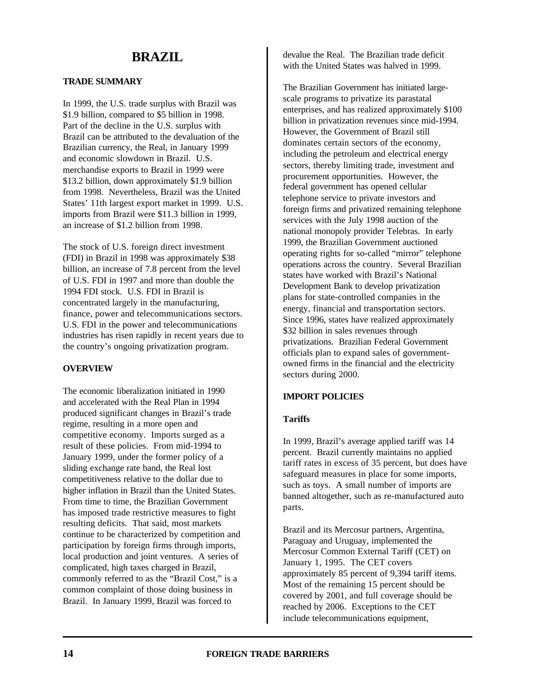# **BRAZIL**

# **TRADE SUMMARY**

In 1999, the U.S. trade surplus with Brazil was \$1.9 billion, compared to \$5 billion in 1998. Part of the decline in the U.S. surplus with Brazil can be attributed to the devaluation of the Brazilian currency, the Real, in January 1999 and economic slowdown in Brazil. U.S. merchandise exports to Brazil in 1999 were \$13.2 billion, down approximately \$1.9 billion from 1998. Nevertheless, Brazil was the United States' 11th largest export market in 1999. U.S. imports from Brazil were \$11.3 billion in 1999, an increase of \$1.2 billion from 1998.

The stock of U.S. foreign direct investment (FDI) in Brazil in 1998 was approximately \$38 billion, an increase of 7.8 percent from the level of U.S. FDI in 1997 and more than double the 1994 FDI stock. U.S. FDI in Brazil is concentrated largely in the manufacturing, finance, power and telecommunications sectors. U.S. FDI in the power and telecommunications industries has risen rapidly in recent years due to the country's ongoing privatization program.

#### **OVERVIEW**

The economic liberalization initiated in 1990 and accelerated with the Real Plan in 1994 produced significant changes in Brazil's trade regime, resulting in a more open and competitive economy. Imports surged as a result of these policies. From mid-1994 to January 1999, under the former policy of a sliding exchange rate band, the Real lost competitiveness relative to the dollar due to higher inflation in Brazil than the United States. From time to time, the Brazilian Government has imposed trade restrictive measures to fight resulting deficits. That said, most markets continue to be characterized by competition and participation by foreign firms through imports, local production and joint ventures. A series of complicated, high taxes charged in Brazil, commonly referred to as the "Brazil Cost," is a common complaint of those doing business in Brazil. In January 1999, Brazil was forced to

devalue the Real. The Brazilian trade deficit with the United States was halved in 1999.

The Brazilian Government has initiated largescale programs to privatize its parastatal enterprises, and has realized approximately \$100 billion in privatization revenues since mid-1994. However, the Government of Brazil still dominates certain sectors of the economy, including the petroleum and electrical energy sectors, thereby limiting trade, investment and procurement opportunities. However, the federal government has opened cellular telephone service to private investors and foreign firms and privatized remaining telephone services with the July 1998 auction of the national monopoly provider Telebras. In early 1999, the Brazilian Government auctioned operating rights for so-called "mirror" telephone operations across the country. Several Brazilian states have worked with Brazil's National Development Bank to develop privatization plans for state-controlled companies in the energy, financial and transportation sectors. Since 1996, states have realized approximately \$32 billion in sales revenues through privatizations. Brazilian Federal Government officials plan to expand sales of governmentowned firms in the financial and the electricity sectors during 2000.

#### **IMPORT POLICIES**

### **Tariffs**

In 1999, Brazil's average applied tariff was 14 percent. Brazil currently maintains no applied tariff rates in excess of 35 percent, but does have safeguard measures in place for some imports, such as toys. A small number of imports are banned altogether, such as re-manufactured auto parts.

Brazil and its Mercosur partners, Argentina, Paraguay and Uruguay, implemented the Mercosur Common External Tariff (CET) on January 1, 1995. The CET covers approximately 85 percent of 9,394 tariff items. Most of the remaining 15 percent should be covered by 2001, and full coverage should be reached by 2006. Exceptions to the CET include telecommunications equipment,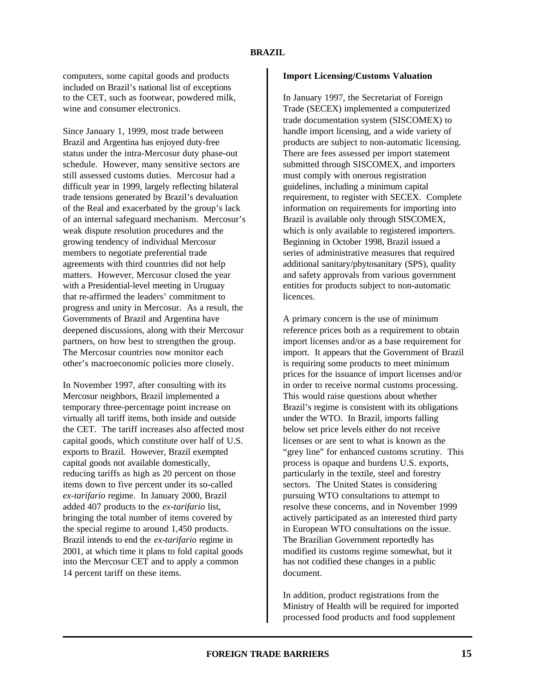computers, some capital goods and products included on Brazil's national list of exceptions to the CET, such as footwear, powdered milk, wine and consumer electronics.

Since January 1, 1999, most trade between Brazil and Argentina has enjoyed duty-free status under the intra-Mercosur duty phase-out schedule. However, many sensitive sectors are still assessed customs duties. Mercosur had a difficult year in 1999, largely reflecting bilateral trade tensions generated by Brazil's devaluation of the Real and exacerbated by the group's lack of an internal safeguard mechanism. Mercosur's weak dispute resolution procedures and the growing tendency of individual Mercosur members to negotiate preferential trade agreements with third countries did not help matters. However, Mercosur closed the year with a Presidential-level meeting in Uruguay that re-affirmed the leaders' commitment to progress and unity in Mercosur. As a result, the Governments of Brazil and Argentina have deepened discussions, along with their Mercosur partners, on how best to strengthen the group. The Mercosur countries now monitor each other's macroeconomic policies more closely.

In November 1997, after consulting with its Mercosur neighbors, Brazil implemented a temporary three-percentage point increase on virtually all tariff items, both inside and outside the CET. The tariff increases also affected most capital goods, which constitute over half of U.S. exports to Brazil. However, Brazil exempted capital goods not available domestically, reducing tariffs as high as 20 percent on those items down to five percent under its so-called *ex-tarifario* regime. In January 2000, Brazil added 407 products to the *ex-tarifario* list, bringing the total number of items covered by the special regime to around 1,450 products. Brazil intends to end the *ex-tarifario* regime in 2001, at which time it plans to fold capital goods into the Mercosur CET and to apply a common 14 percent tariff on these items.

#### **Import Licensing/Customs Valuation**

In January 1997, the Secretariat of Foreign Trade (SECEX) implemented a computerized trade documentation system (SISCOMEX) to handle import licensing, and a wide variety of products are subject to non-automatic licensing. There are fees assessed per import statement submitted through SISCOMEX, and importers must comply with onerous registration guidelines, including a minimum capital requirement, to register with SECEX. Complete information on requirements for importing into Brazil is available only through SISCOMEX, which is only available to registered importers. Beginning in October 1998, Brazil issued a series of administrative measures that required additional sanitary/phytosanitary (SPS), quality and safety approvals from various government entities for products subject to non-automatic licences.

A primary concern is the use of minimum reference prices both as a requirement to obtain import licenses and/or as a base requirement for import. It appears that the Government of Brazil is requiring some products to meet minimum prices for the issuance of import licenses and/or in order to receive normal customs processing. This would raise questions about whether Brazil's regime is consistent with its obligations under the WTO. In Brazil, imports falling below set price levels either do not receive licenses or are sent to what is known as the "grey line" for enhanced customs scrutiny. This process is opaque and burdens U.S. exports, particularly in the textile, steel and forestry sectors. The United States is considering pursuing WTO consultations to attempt to resolve these concerns, and in November 1999 actively participated as an interested third party in European WTO consultations on the issue. The Brazilian Government reportedly has modified its customs regime somewhat, but it has not codified these changes in a public document.

In addition, product registrations from the Ministry of Health will be required for imported processed food products and food supplement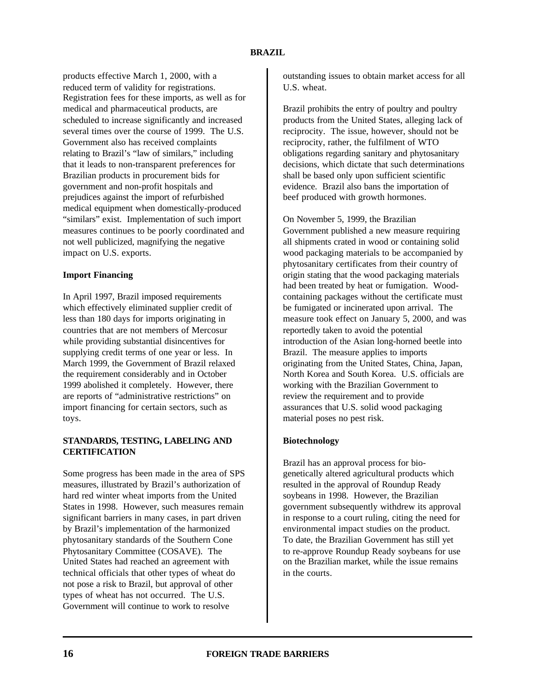products effective March 1, 2000, with a reduced term of validity for registrations. Registration fees for these imports, as well as for medical and pharmaceutical products, are scheduled to increase significantly and increased several times over the course of 1999. The U.S. Government also has received complaints relating to Brazil's "law of similars," including that it leads to non-transparent preferences for Brazilian products in procurement bids for government and non-profit hospitals and prejudices against the import of refurbished medical equipment when domestically-produced "similars" exist. Implementation of such import measures continues to be poorly coordinated and not well publicized, magnifying the negative impact on U.S. exports.

# **Import Financing**

In April 1997, Brazil imposed requirements which effectively eliminated supplier credit of less than 180 days for imports originating in countries that are not members of Mercosur while providing substantial disincentives for supplying credit terms of one year or less. In March 1999, the Government of Brazil relaxed the requirement considerably and in October 1999 abolished it completely. However, there are reports of "administrative restrictions" on import financing for certain sectors, such as toys.

# **STANDARDS, TESTING, LABELING AND CERTIFICATION**

Some progress has been made in the area of SPS measures, illustrated by Brazil's authorization of hard red winter wheat imports from the United States in 1998. However, such measures remain significant barriers in many cases, in part driven by Brazil's implementation of the harmonized phytosanitary standards of the Southern Cone Phytosanitary Committee (COSAVE). The United States had reached an agreement with technical officials that other types of wheat do not pose a risk to Brazil, but approval of other types of wheat has not occurred. The U.S. Government will continue to work to resolve

outstanding issues to obtain market access for all U.S. wheat.

Brazil prohibits the entry of poultry and poultry products from the United States, alleging lack of reciprocity. The issue, however, should not be reciprocity, rather, the fulfilment of WTO obligations regarding sanitary and phytosanitary decisions, which dictate that such determinations shall be based only upon sufficient scientific evidence. Brazil also bans the importation of beef produced with growth hormones.

On November 5, 1999, the Brazilian Government published a new measure requiring all shipments crated in wood or containing solid wood packaging materials to be accompanied by phytosanitary certificates from their country of origin stating that the wood packaging materials had been treated by heat or fumigation. Woodcontaining packages without the certificate must be fumigated or incinerated upon arrival. The measure took effect on January 5, 2000, and was reportedly taken to avoid the potential introduction of the Asian long-horned beetle into Brazil. The measure applies to imports originating from the United States, China, Japan, North Korea and South Korea. U.S. officials are working with the Brazilian Government to review the requirement and to provide assurances that U.S. solid wood packaging material poses no pest risk.

# **Biotechnology**

Brazil has an approval process for biogenetically altered agricultural products which resulted in the approval of Roundup Ready soybeans in 1998. However, the Brazilian government subsequently withdrew its approval in response to a court ruling, citing the need for environmental impact studies on the product. To date, the Brazilian Government has still yet to re-approve Roundup Ready soybeans for use on the Brazilian market, while the issue remains in the courts.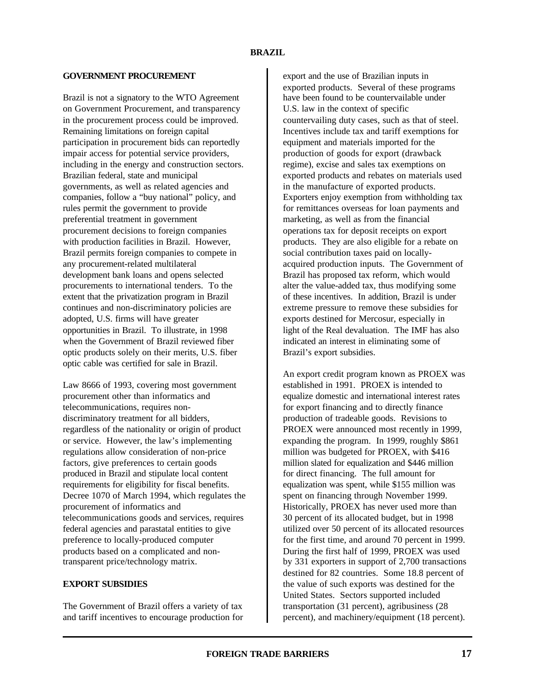### **GOVERNMENT PROCUREMENT**

Brazil is not a signatory to the WTO Agreement on Government Procurement, and transparency in the procurement process could be improved. Remaining limitations on foreign capital participation in procurement bids can reportedly impair access for potential service providers, including in the energy and construction sectors. Brazilian federal, state and municipal governments, as well as related agencies and companies, follow a "buy national" policy, and rules permit the government to provide preferential treatment in government procurement decisions to foreign companies with production facilities in Brazil. However, Brazil permits foreign companies to compete in any procurement-related multilateral development bank loans and opens selected procurements to international tenders. To the extent that the privatization program in Brazil continues and non-discriminatory policies are adopted, U.S. firms will have greater opportunities in Brazil. To illustrate, in 1998 when the Government of Brazil reviewed fiber optic products solely on their merits, U.S. fiber optic cable was certified for sale in Brazil.

Law 8666 of 1993, covering most government procurement other than informatics and telecommunications, requires nondiscriminatory treatment for all bidders, regardless of the nationality or origin of product or service. However, the law's implementing regulations allow consideration of non-price factors, give preferences to certain goods produced in Brazil and stipulate local content requirements for eligibility for fiscal benefits. Decree 1070 of March 1994, which regulates the procurement of informatics and telecommunications goods and services, requires federal agencies and parastatal entities to give preference to locally-produced computer products based on a complicated and nontransparent price/technology matrix.

# **EXPORT SUBSIDIES**

The Government of Brazil offers a variety of tax and tariff incentives to encourage production for export and the use of Brazilian inputs in exported products. Several of these programs have been found to be countervailable under U.S. law in the context of specific countervailing duty cases, such as that of steel. Incentives include tax and tariff exemptions for equipment and materials imported for the production of goods for export (drawback regime), excise and sales tax exemptions on exported products and rebates on materials used in the manufacture of exported products. Exporters enjoy exemption from withholding tax for remittances overseas for loan payments and marketing, as well as from the financial operations tax for deposit receipts on export products. They are also eligible for a rebate on social contribution taxes paid on locallyacquired production inputs. The Government of Brazil has proposed tax reform, which would alter the value-added tax, thus modifying some of these incentives. In addition, Brazil is under extreme pressure to remove these subsidies for exports destined for Mercosur, especially in light of the Real devaluation. The IMF has also indicated an interest in eliminating some of Brazil's export subsidies.

An export credit program known as PROEX was established in 1991. PROEX is intended to equalize domestic and international interest rates for export financing and to directly finance production of tradeable goods. Revisions to PROEX were announced most recently in 1999, expanding the program. In 1999, roughly \$861 million was budgeted for PROEX, with \$416 million slated for equalization and \$446 million for direct financing. The full amount for equalization was spent, while \$155 million was spent on financing through November 1999. Historically, PROEX has never used more than 30 percent of its allocated budget, but in 1998 utilized over 50 percent of its allocated resources for the first time, and around 70 percent in 1999. During the first half of 1999, PROEX was used by 331 exporters in support of 2,700 transactions destined for 82 countries. Some 18.8 percent of the value of such exports was destined for the United States. Sectors supported included transportation (31 percent), agribusiness (28 percent), and machinery/equipment (18 percent).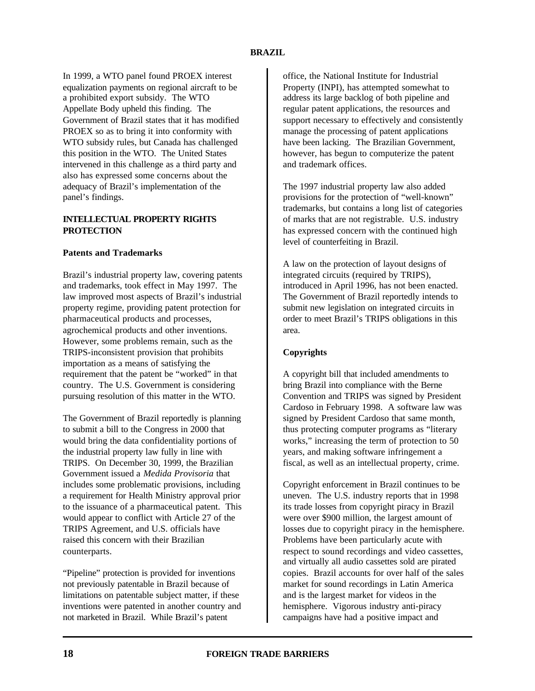In 1999, a WTO panel found PROEX interest equalization payments on regional aircraft to be a prohibited export subsidy. The WTO Appellate Body upheld this finding. The Government of Brazil states that it has modified PROEX so as to bring it into conformity with WTO subsidy rules, but Canada has challenged this position in the WTO. The United States intervened in this challenge as a third party and also has expressed some concerns about the adequacy of Brazil's implementation of the panel's findings.

# **INTELLECTUAL PROPERTY RIGHTS PROTECTION**

# **Patents and Trademarks**

Brazil's industrial property law, covering patents and trademarks, took effect in May 1997. The law improved most aspects of Brazil's industrial property regime, providing patent protection for pharmaceutical products and processes, agrochemical products and other inventions. However, some problems remain, such as the TRIPS-inconsistent provision that prohibits importation as a means of satisfying the requirement that the patent be "worked" in that country. The U.S. Government is considering pursuing resolution of this matter in the WTO.

The Government of Brazil reportedly is planning to submit a bill to the Congress in 2000 that would bring the data confidentiality portions of the industrial property law fully in line with TRIPS. On December 30, 1999, the Brazilian Government issued a *Medida Provisoria* that includes some problematic provisions, including a requirement for Health Ministry approval prior to the issuance of a pharmaceutical patent. This would appear to conflict with Article 27 of the TRIPS Agreement, and U.S. officials have raised this concern with their Brazilian counterparts.

"Pipeline" protection is provided for inventions not previously patentable in Brazil because of limitations on patentable subject matter, if these inventions were patented in another country and not marketed in Brazil. While Brazil's patent

office, the National Institute for Industrial Property (INPI), has attempted somewhat to address its large backlog of both pipeline and regular patent applications, the resources and support necessary to effectively and consistently manage the processing of patent applications have been lacking. The Brazilian Government, however, has begun to computerize the patent and trademark offices.

The 1997 industrial property law also added provisions for the protection of "well-known" trademarks, but contains a long list of categories of marks that are not registrable. U.S. industry has expressed concern with the continued high level of counterfeiting in Brazil.

A law on the protection of layout designs of integrated circuits (required by TRIPS), introduced in April 1996, has not been enacted. The Government of Brazil reportedly intends to submit new legislation on integrated circuits in order to meet Brazil's TRIPS obligations in this area.

# **Copyrights**

A copyright bill that included amendments to bring Brazil into compliance with the Berne Convention and TRIPS was signed by President Cardoso in February 1998. A software law was signed by President Cardoso that same month, thus protecting computer programs as "literary works," increasing the term of protection to 50 years, and making software infringement a fiscal, as well as an intellectual property, crime.

Copyright enforcement in Brazil continues to be uneven. The U.S. industry reports that in 1998 its trade losses from copyright piracy in Brazil were over \$900 million, the largest amount of losses due to copyright piracy in the hemisphere. Problems have been particularly acute with respect to sound recordings and video cassettes, and virtually all audio cassettes sold are pirated copies. Brazil accounts for over half of the sales market for sound recordings in Latin America and is the largest market for videos in the hemisphere. Vigorous industry anti-piracy campaigns have had a positive impact and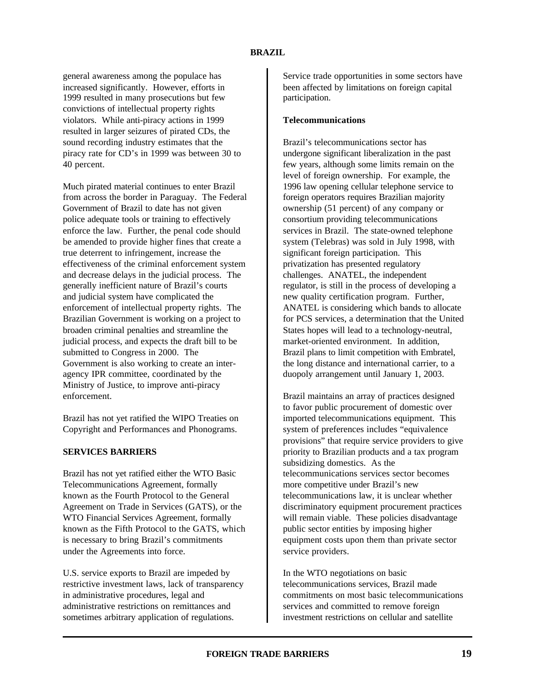# **BRAZIL**

general awareness among the populace has increased significantly. However, efforts in 1999 resulted in many prosecutions but few convictions of intellectual property rights violators. While anti-piracy actions in 1999 resulted in larger seizures of pirated CDs, the sound recording industry estimates that the piracy rate for CD's in 1999 was between 30 to 40 percent.

Much pirated material continues to enter Brazil from across the border in Paraguay. The Federal Government of Brazil to date has not given police adequate tools or training to effectively enforce the law. Further, the penal code should be amended to provide higher fines that create a true deterrent to infringement, increase the effectiveness of the criminal enforcement system and decrease delays in the judicial process. The generally inefficient nature of Brazil's courts and judicial system have complicated the enforcement of intellectual property rights. The Brazilian Government is working on a project to broaden criminal penalties and streamline the judicial process, and expects the draft bill to be submitted to Congress in 2000. The Government is also working to create an interagency IPR committee, coordinated by the Ministry of Justice, to improve anti-piracy enforcement.

Brazil has not yet ratified the WIPO Treaties on Copyright and Performances and Phonograms.

# **SERVICES BARRIERS**

Brazil has not yet ratified either the WTO Basic Telecommunications Agreement, formally known as the Fourth Protocol to the General Agreement on Trade in Services (GATS), or the WTO Financial Services Agreement, formally known as the Fifth Protocol to the GATS, which is necessary to bring Brazil's commitments under the Agreements into force.

U.S. service exports to Brazil are impeded by restrictive investment laws, lack of transparency in administrative procedures, legal and administrative restrictions on remittances and sometimes arbitrary application of regulations.

Service trade opportunities in some sectors have been affected by limitations on foreign capital participation.

### **Telecommunications**

Brazil's telecommunications sector has undergone significant liberalization in the past few years, although some limits remain on the level of foreign ownership. For example, the 1996 law opening cellular telephone service to foreign operators requires Brazilian majority ownership (51 percent) of any company or consortium providing telecommunications services in Brazil. The state-owned telephone system (Telebras) was sold in July 1998, with significant foreign participation. This privatization has presented regulatory challenges. ANATEL, the independent regulator, is still in the process of developing a new quality certification program. Further, ANATEL is considering which bands to allocate for PCS services, a determination that the United States hopes will lead to a technology-neutral, market-oriented environment. In addition, Brazil plans to limit competition with Embratel, the long distance and international carrier, to a duopoly arrangement until January 1, 2003.

Brazil maintains an array of practices designed to favor public procurement of domestic over imported telecommunications equipment. This system of preferences includes "equivalence provisions" that require service providers to give priority to Brazilian products and a tax program subsidizing domestics. As the telecommunications services sector becomes more competitive under Brazil's new telecommunications law, it is unclear whether discriminatory equipment procurement practices will remain viable. These policies disadvantage public sector entities by imposing higher equipment costs upon them than private sector service providers.

In the WTO negotiations on basic telecommunications services, Brazil made commitments on most basic telecommunications services and committed to remove foreign investment restrictions on cellular and satellite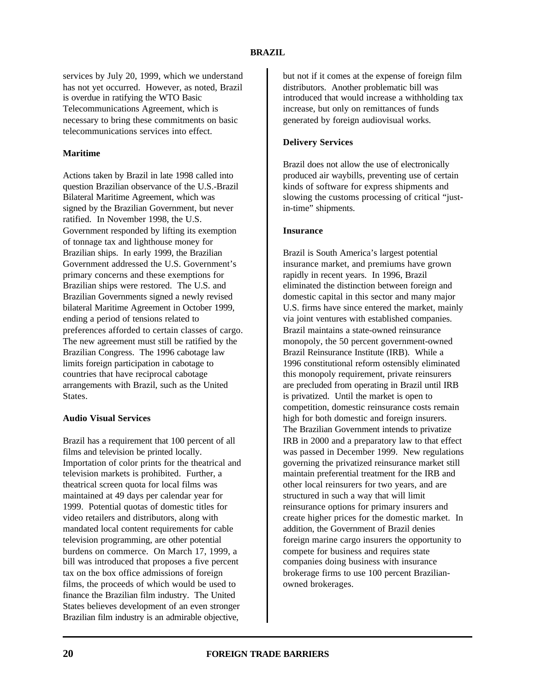services by July 20, 1999, which we understand has not yet occurred. However, as noted, Brazil is overdue in ratifying the WTO Basic Telecommunications Agreement, which is necessary to bring these commitments on basic telecommunications services into effect.

# **Maritime**

Actions taken by Brazil in late 1998 called into question Brazilian observance of the U.S.-Brazil Bilateral Maritime Agreement, which was signed by the Brazilian Government, but never ratified. In November 1998, the U.S. Government responded by lifting its exemption of tonnage tax and lighthouse money for Brazilian ships. In early 1999, the Brazilian Government addressed the U.S. Government's primary concerns and these exemptions for Brazilian ships were restored. The U.S. and Brazilian Governments signed a newly revised bilateral Maritime Agreement in October 1999, ending a period of tensions related to preferences afforded to certain classes of cargo. The new agreement must still be ratified by the Brazilian Congress. The 1996 cabotage law limits foreign participation in cabotage to countries that have reciprocal cabotage arrangements with Brazil, such as the United States.

### **Audio Visual Services**

Brazil has a requirement that 100 percent of all films and television be printed locally. Importation of color prints for the theatrical and television markets is prohibited. Further, a theatrical screen quota for local films was maintained at 49 days per calendar year for 1999. Potential quotas of domestic titles for video retailers and distributors, along with mandated local content requirements for cable television programming, are other potential burdens on commerce. On March 17, 1999, a bill was introduced that proposes a five percent tax on the box office admissions of foreign films, the proceeds of which would be used to finance the Brazilian film industry. The United States believes development of an even stronger Brazilian film industry is an admirable objective,

but not if it comes at the expense of foreign film distributors. Another problematic bill was introduced that would increase a withholding tax increase, but only on remittances of funds generated by foreign audiovisual works.

### **Delivery Services**

Brazil does not allow the use of electronically produced air waybills, preventing use of certain kinds of software for express shipments and slowing the customs processing of critical "justin-time" shipments.

#### **Insurance**

Brazil is South America's largest potential insurance market, and premiums have grown rapidly in recent years. In 1996, Brazil eliminated the distinction between foreign and domestic capital in this sector and many major U.S. firms have since entered the market, mainly via joint ventures with established companies. Brazil maintains a state-owned reinsurance monopoly, the 50 percent government-owned Brazil Reinsurance Institute (IRB). While a 1996 constitutional reform ostensibly eliminated this monopoly requirement, private reinsurers are precluded from operating in Brazil until IRB is privatized. Until the market is open to competition, domestic reinsurance costs remain high for both domestic and foreign insurers. The Brazilian Government intends to privatize IRB in 2000 and a preparatory law to that effect was passed in December 1999. New regulations governing the privatized reinsurance market still maintain preferential treatment for the IRB and other local reinsurers for two years, and are structured in such a way that will limit reinsurance options for primary insurers and create higher prices for the domestic market. In addition, the Government of Brazil denies foreign marine cargo insurers the opportunity to compete for business and requires state companies doing business with insurance brokerage firms to use 100 percent Brazilianowned brokerages.